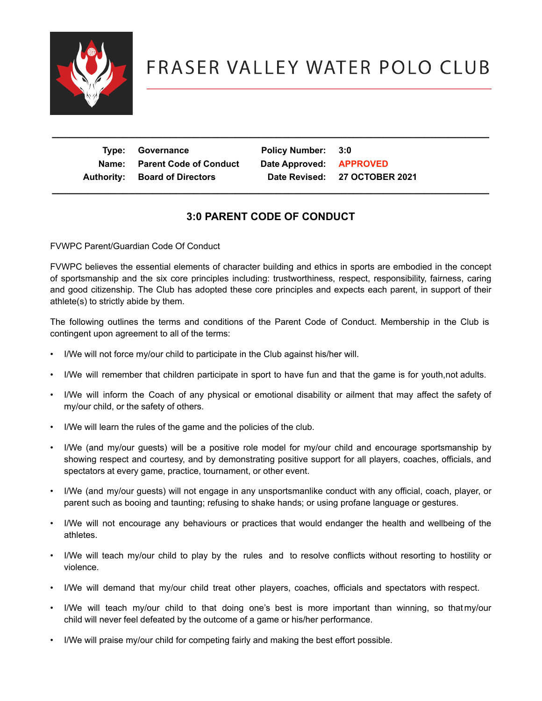

## FRASER VALLEY WATER POLO CLUB

| Type: Governance<br>Name: Parent Code of Conduct<br><b>Authority: Board of Directors</b> | Policy Number: 3:0<br>Date Approved: APPROVED | Date Revised: 27 OCTOBER 2021 |
|------------------------------------------------------------------------------------------|-----------------------------------------------|-------------------------------|
|                                                                                          |                                               |                               |

## **3:0 PARENT CODE OF CONDUCT**

 **\_\_\_\_\_\_\_\_\_\_\_\_\_\_\_\_\_\_\_\_\_\_\_\_\_\_\_\_\_\_\_\_\_\_\_\_\_\_\_\_\_\_\_\_\_\_\_\_\_\_\_\_\_\_\_\_\_\_\_\_\_\_\_\_\_\_\_\_\_\_\_\_\_\_**

FVWPC Parent/Guardian Code Of Conduct

FVWPC believes the essential elements of character building and ethics in sports are embodied in the concept of sportsmanship and the six core principles including: trustworthiness, respect, responsibility, fairness, caring and good citizenship. The Club has adopted these core principles and expects each parent, in support of their athlete(s) to strictly abide by them.

The following outlines the terms and conditions of the Parent Code of Conduct. Membership in the Club is contingent upon agreement to all of the terms:

- I/We will not force my/our child to participate in the Club against his/her will.
- I/We will remember that children participate in sport to have fun and that the game is for youth,not adults.
- I/We will inform the Coach of any physical or emotional disability or ailment that may affect the safety of my/our child, or the safety of others.
- I/We will learn the rules of the game and the policies of the club.
- I/We (and my/our guests) will be a positive role model for my/our child and encourage sportsmanship by showing respect and courtesy, and by demonstrating positive support for all players, coaches, officials, and spectators at every game, practice, tournament, or other event.
- I/We (and my/our guests) will not engage in any unsportsmanlike conduct with any official, coach, player, or parent such as booing and taunting; refusing to shake hands; or using profane language or gestures.
- I/We will not encourage any behaviours or practices that would endanger the health and wellbeing of the athletes.
- I/We will teach my/our child to play by the rules and to resolve conflicts without resorting to hostility or violence.
- I/We will demand that my/our child treat other players, coaches, officials and spectators with respect.
- I/We will teach my/our child to that doing one's best is more important than winning, so thatmy/our child will never feel defeated by the outcome of a game or his/her performance.
- I/We will praise my/our child for competing fairly and making the best effort possible.